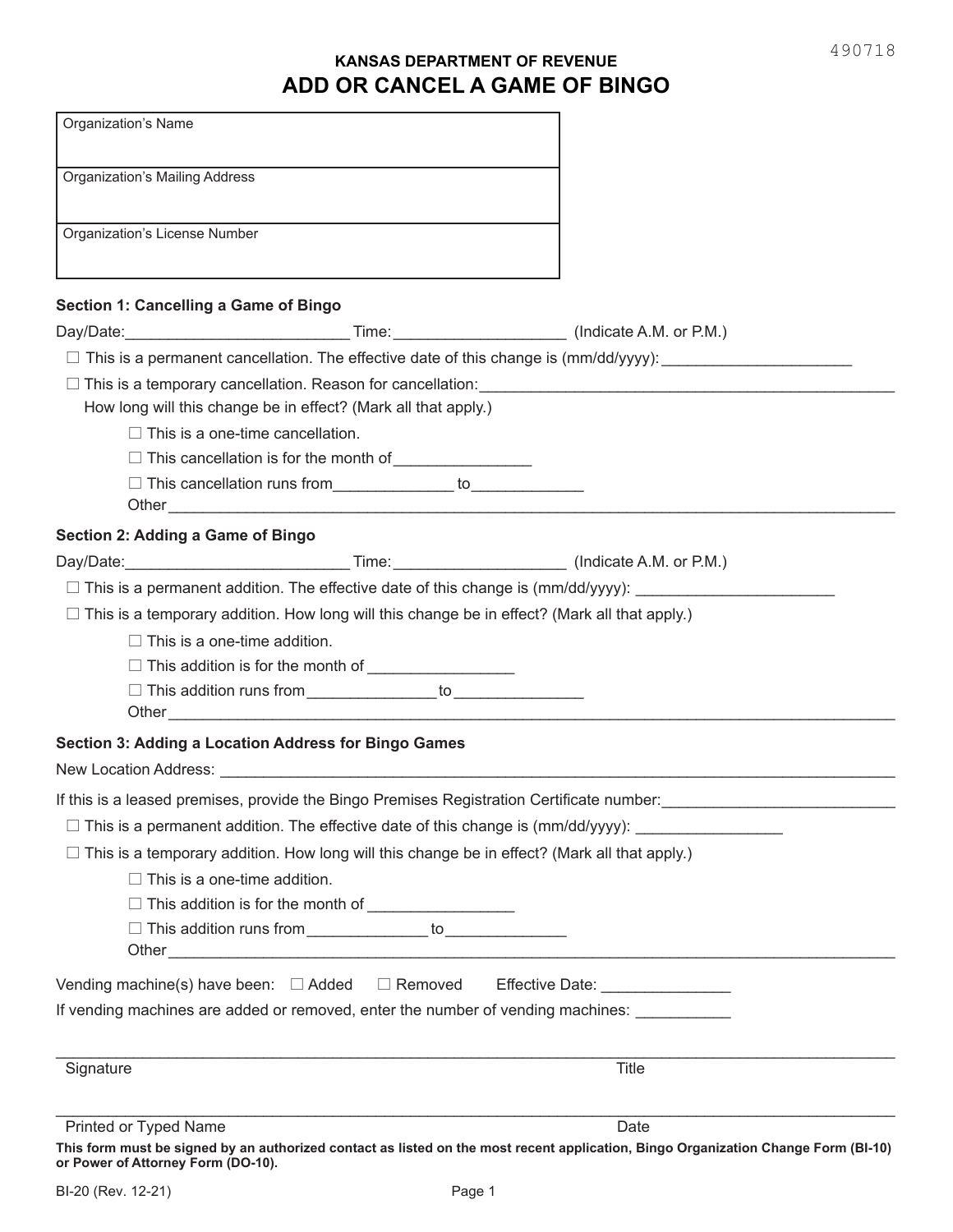## **KANSAS DEPARTMENT OF REVENUE ADD OR CANCEL A GAME OF BINGO**

| <b>Organization's Mailing Address</b><br>Organization's License Number<br>Section 1: Cancelling a Game of Bingo                                                                                                                                                                              |       |
|----------------------------------------------------------------------------------------------------------------------------------------------------------------------------------------------------------------------------------------------------------------------------------------------|-------|
|                                                                                                                                                                                                                                                                                              |       |
|                                                                                                                                                                                                                                                                                              |       |
|                                                                                                                                                                                                                                                                                              |       |
|                                                                                                                                                                                                                                                                                              |       |
| $\Box$ This is a permanent cancellation. The effective date of this change is $(\text{mm}/\text{dd}/\text{yyy})$ :                                                                                                                                                                           |       |
| $\Box$ This is a temporary cancellation. Reason for cancellation:                                                                                                                                                                                                                            |       |
| How long will this change be in effect? (Mark all that apply.)                                                                                                                                                                                                                               |       |
| $\Box$ This is a one-time cancellation.                                                                                                                                                                                                                                                      |       |
| □ This cancellation is for the month of <u>Figure Alexander Community</u>                                                                                                                                                                                                                    |       |
| □ This cancellation runs from ______________ to ______________                                                                                                                                                                                                                               |       |
|                                                                                                                                                                                                                                                                                              |       |
| Section 2: Adding a Game of Bingo                                                                                                                                                                                                                                                            |       |
|                                                                                                                                                                                                                                                                                              |       |
|                                                                                                                                                                                                                                                                                              |       |
| $\Box$ This is a temporary addition. How long will this change be in effect? (Mark all that apply.)                                                                                                                                                                                          |       |
| $\Box$ This is a one-time addition.                                                                                                                                                                                                                                                          |       |
| □ This addition is for the month of <u>_______________</u>                                                                                                                                                                                                                                   |       |
|                                                                                                                                                                                                                                                                                              |       |
| <b>Section 3: Adding a Location Address for Bingo Games</b><br>New Location Address: New York 2018 19:30 AM AND THE RESEARCH OF THE SERVICE OF THE SERVICE OF THE STATE OF THE STATE OF THE STATE OF THE STATE OF THE STATE OF THE STATE OF THE STATE OF THE STATE OF THE STATE OF THE STATE |       |
| If this is a leased premises, provide the Bingo Premises Registration Certificate number:<br>This is a leased premises, provide the Bingo Premises Registration Certificate number:                                                                                                          |       |
| $\Box$ This is a permanent addition. The effective date of this change is $(\text{mm}/\text{dd}/\text{yyy})$ :                                                                                                                                                                               |       |
| $\Box$ This is a temporary addition. How long will this change be in effect? (Mark all that apply.)                                                                                                                                                                                          |       |
| $\Box$ This is a one-time addition.                                                                                                                                                                                                                                                          |       |
| $\Box$ This addition is for the month of $\Box$                                                                                                                                                                                                                                              |       |
|                                                                                                                                                                                                                                                                                              |       |
|                                                                                                                                                                                                                                                                                              |       |
| Vending machine(s) have been: □ Added □ Removed Effective Date: _______________                                                                                                                                                                                                              |       |
| If vending machines are added or removed, enter the number of vending machines:                                                                                                                                                                                                              |       |
| Signature                                                                                                                                                                                                                                                                                    | Title |
|                                                                                                                                                                                                                                                                                              |       |
| Printed or Typed Name                                                                                                                                                                                                                                                                        | Date  |

**or Power of Attorney Form (DO-10).**